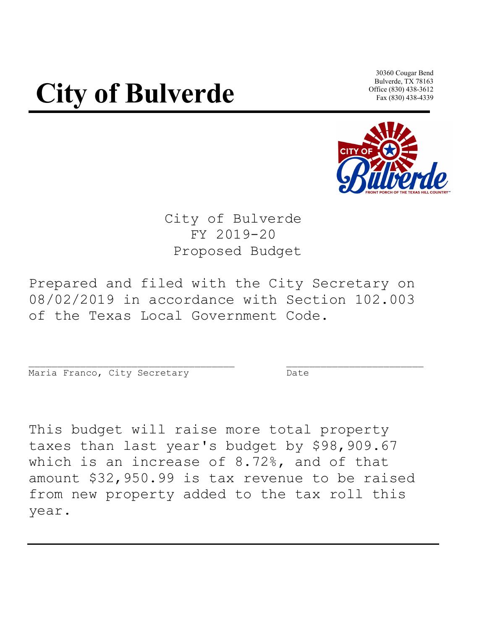## **City of Bulverde**

30360 Cougar Bend Bulverde, TX 78163 Office (830) 438-3612 Fax (830) 438-4339



City of Bulverde FY 2019-20 Proposed Budget

Prepared and filed with the City Secretary on 08/02/2019 in accordance with Section 102.003 of the Texas Local Government Code.

\_\_\_\_\_\_\_\_\_\_\_\_\_\_\_\_\_\_\_\_\_\_\_\_\_\_\_\_\_\_\_\_\_\_\_\_ \_\_\_\_\_\_\_\_\_\_\_\_\_\_\_\_\_\_\_\_\_\_\_\_ Maria Franco, City Secretary The Control Date

This budget will raise more total property taxes than last year's budget by \$98,909.67 which is an increase of 8.72%, and of that amount \$32,950.99 is tax revenue to be raised from new property added to the tax roll this year.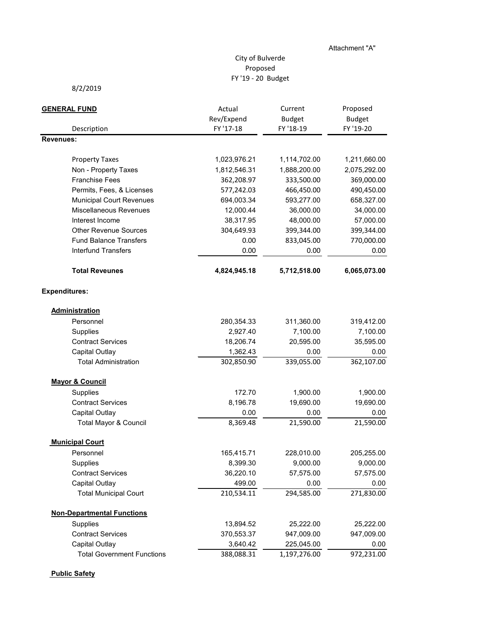## City of Bulverde Proposed FY '19 - 20 Budget

8/2/2019

| <b>GENERAL FUND</b>               | Actual<br>Rev/Expend | Current<br><b>Budget</b> | Proposed<br><b>Budget</b> |
|-----------------------------------|----------------------|--------------------------|---------------------------|
| Description                       | FY '17-18            | FY '18-19                | FY '19-20                 |
| <b>Revenues:</b>                  |                      |                          |                           |
| <b>Property Taxes</b>             | 1,023,976.21         | 1,114,702.00             | 1,211,660.00              |
| Non - Property Taxes              | 1,812,546.31         | 1,888,200.00             | 2,075,292.00              |
| <b>Franchise Fees</b>             | 362,208.97           | 333,500.00               | 369,000.00                |
| Permits, Fees, & Licenses         | 577,242.03           | 466,450.00               | 490,450.00                |
| <b>Municipal Court Revenues</b>   | 694,003.34           | 593,277.00               | 658,327.00                |
| Miscellaneous Revenues            | 12,000.44            | 36,000.00                | 34,000.00                 |
| Interest Income                   | 38,317.95            | 48,000.00                | 57,000.00                 |
| <b>Other Revenue Sources</b>      | 304,649.93           | 399,344.00               | 399,344.00                |
| <b>Fund Balance Transfers</b>     | 0.00                 | 833,045.00               | 770,000.00                |
| <b>Interfund Transfers</b>        | 0.00                 | 0.00                     | 0.00                      |
| <b>Total Reveunes</b>             | 4,824,945.18         | 5,712,518.00             | 6,065,073.00              |
| <b>Expenditures:</b>              |                      |                          |                           |
| <b>Administration</b>             |                      |                          |                           |
| Personnel                         | 280,354.33           | 311,360.00               | 319,412.00                |
| Supplies                          | 2,927.40             | 7,100.00                 | 7,100.00                  |
| <b>Contract Services</b>          | 18,206.74            | 20,595.00                | 35,595.00                 |
| <b>Capital Outlay</b>             | 1,362.43             | 0.00                     | 0.00                      |
| <b>Total Administration</b>       | 302,850.90           | 339,055.00               | 362,107.00                |
| <b>Mayor &amp; Council</b>        |                      |                          |                           |
| Supplies                          | 172.70               | 1,900.00                 | 1,900.00                  |
| <b>Contract Services</b>          | 8,196.78             | 19,690.00                | 19,690.00                 |
| <b>Capital Outlay</b>             | 0.00                 | 0.00                     | 0.00                      |
| <b>Total Mayor &amp; Council</b>  | 8,369.48             | 21,590.00                | 21,590.00                 |
| <b>Municipal Court</b>            |                      |                          |                           |
| Personnel                         | 165,415.71           | 228,010.00               | 205,255.00                |
| Supplies                          | 8,399.30             | 9,000.00                 | 9,000.00                  |
| <b>Contract Services</b>          | 36,220.10            | 57,575.00                | 57,575.00                 |
| <b>Capital Outlay</b>             | 499.00               | 0.00                     | 0.00                      |
| <b>Total Municipal Court</b>      | 210,534.11           | 294,585.00               | 271,830.00                |
| <b>Non-Departmental Functions</b> |                      |                          |                           |
| Supplies                          | 13,894.52            | 25,222.00                | 25,222.00                 |
| <b>Contract Services</b>          | 370,553.37           | 947,009.00               | 947,009.00                |
| <b>Capital Outlay</b>             | 3,640.42             | 225,045.00               | 0.00                      |
| <b>Total Government Functions</b> | 388,088.31           | 1,197,276.00             | 972,231.00                |

 **Public Safety**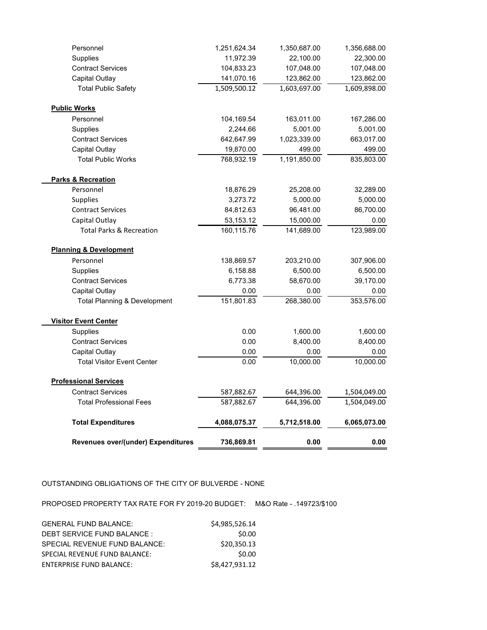| Revenues over/(under) Expenditures                    | 736,869.81              | 0.00                   | 0.00              |
|-------------------------------------------------------|-------------------------|------------------------|-------------------|
|                                                       |                         |                        |                   |
| <b>Total Expenditures</b>                             | 4,088,075.37            | 5,712,518.00           | 6,065,073.00      |
| <b>Total Professional Fees</b>                        | 587,882.67              | 644,396.00             | 1,504,049.00      |
| <b>Contract Services</b>                              | 587,882.67              | 644,396.00             | 1,504,049.00      |
| <b>Professional Services</b>                          |                         |                        |                   |
| <b>Total Visitor Event Center</b>                     | 0.00                    | 10,000.00              | 10,000.00         |
| <b>Capital Outlay</b>                                 | 0.00                    | 0.00                   | 0.00              |
| <b>Contract Services</b>                              | 0.00                    | 8,400.00               | 8,400.00          |
| <b>Supplies</b>                                       | 0.00                    | 1,600.00               | 1,600.00          |
| <b>Visitor Event Center</b>                           |                         |                        |                   |
| <b>Total Planning &amp; Development</b>               | 151,801.83              | 268,380.00             | 353,576.00        |
| Capital Outlay                                        | 0.00                    | 0.00                   | 0.00              |
| <b>Contract Services</b>                              | 6,773.38                | 58,670.00              | 39,170.00         |
| <b>Supplies</b>                                       | 6,158.88                | 6,500.00               | 6,500.00          |
| Personnel                                             | 138,869.57              | 203,210.00             | 307,906.00        |
| <b>Planning &amp; Development</b>                     |                         |                        |                   |
|                                                       |                         |                        |                   |
| Capital Outlay<br><b>Total Parks &amp; Recreation</b> | 53,153.12<br>160,115.76 | 141,689.00             | 123,989.00        |
|                                                       | 84,812.63               | 96,481.00<br>15,000.00 | 86,700.00<br>0.00 |
| Supplies<br><b>Contract Services</b>                  | 3,273.72                | 5,000.00               | 5,000.00          |
| Personnel                                             | 18,876.29               | 25,208.00              | 32,289.00         |
| <b>Parks &amp; Recreation</b>                         |                         |                        |                   |
| <b>Total Public Works</b>                             | 768,932.19              | 1,191,850.00           | 835,803.00        |
| <b>Capital Outlay</b>                                 | 19,870.00               | 499.00                 | 499.00            |
| <b>Contract Services</b>                              | 642,647.99              | 1,023,339.00           | 663,017.00        |
| <b>Supplies</b>                                       | 2,244.66                | 5,001.00               | 5,001.00          |
| Personnel                                             | 104,169.54              | 163,011.00             | 167,286.00        |
| <b>Public Works</b>                                   |                         |                        |                   |
| <b>Total Public Safety</b>                            | 1,509,500.12            | 1,603,697.00           | 1,609,898.00      |
| <b>Capital Outlay</b>                                 | 141,070.16              | 123,862.00             | 123,862.00        |
| <b>Contract Services</b>                              | 104,833.23              | 107,048.00             | 107,048.00        |
| <b>Supplies</b>                                       | 11,972.39               | 22,100.00              | 22,300.00         |
| Personnel                                             | 1,251,624.34            | 1,350,687.00           | 1,356,688.00      |

OUTSTANDING OBLIGATIONS OF THE CITY OF BULVERDE - NONE

PROPOSED PROPERTY TAX RATE FOR FY 2019-20 BUDGET: M&O Rate - .149723/\$100

| <b>GENERAL FUND BALANCE:</b>    | \$4,985,526.14 |
|---------------------------------|----------------|
| DEBT SERVICE FUND BALANCE:      | \$0.00         |
| SPECIAL REVENUE FUND BALANCE:   | \$20,350.13    |
| SPECIAL REVENUE FUND BALANCE:   | \$0.00         |
| <b>ENTERPRISE FUND BALANCE:</b> | \$8,427,931.12 |